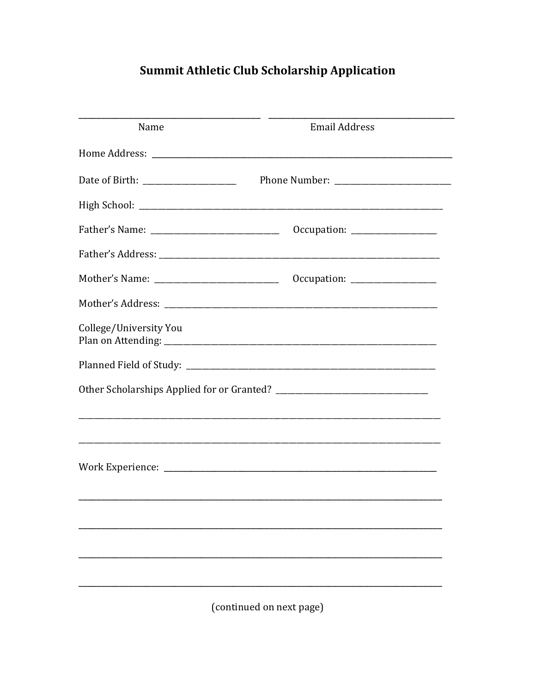## **Summit Athletic Club Scholarship Application**

| Name                   | <b>Email Address</b>                                                         |
|------------------------|------------------------------------------------------------------------------|
|                        |                                                                              |
|                        |                                                                              |
|                        |                                                                              |
|                        |                                                                              |
|                        |                                                                              |
|                        | $Occupation: \_\_\_\_\_\_\_\_\_\_\_\_\_\_\_\_\_\_\_\_\_\_\_\_\_\_\_\_\_\_\_$ |
|                        |                                                                              |
| College/University You |                                                                              |
|                        |                                                                              |
|                        |                                                                              |
|                        |                                                                              |
|                        |                                                                              |
|                        |                                                                              |
|                        |                                                                              |
|                        |                                                                              |
|                        |                                                                              |
|                        |                                                                              |
|                        |                                                                              |

(continued on next page)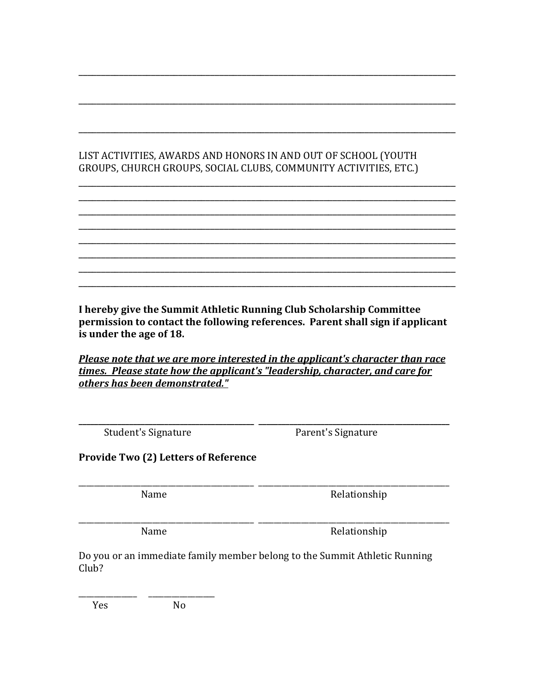## LIST ACTIVITIES, AWARDS AND HONORS IN AND OUT OF SCHOOL (YOUTH GROUPS, CHURCH GROUPS, SOCIAL CLUBS, COMMUNITY ACTIVITIES, ETC.)

\_\_\_\_\_\_\_\_\_\_\_\_\_\_\_\_\_\_\_\_\_\_\_\_\_\_\_\_\_\_\_\_\_\_\_\_\_\_\_\_\_\_\_\_\_\_\_\_\_\_\_\_\_\_\_\_\_\_\_\_\_\_\_\_\_\_\_\_\_\_\_\_\_\_\_\_\_\_\_\_\_\_\_

\_\_\_\_\_\_\_\_\_\_\_\_\_\_\_\_\_\_\_\_\_\_\_\_\_\_\_\_\_\_\_\_\_\_\_\_\_\_\_\_\_\_\_\_\_\_\_\_\_\_\_\_\_\_\_\_\_\_\_\_\_\_\_\_\_\_\_\_\_\_\_\_\_\_\_\_\_\_\_\_\_\_\_

\_\_\_\_\_\_\_\_\_\_\_\_\_\_\_\_\_\_\_\_\_\_\_\_\_\_\_\_\_\_\_\_\_\_\_\_\_\_\_\_\_\_\_\_\_\_\_\_\_\_\_\_\_\_\_\_\_\_\_\_\_\_\_\_\_\_\_\_\_\_\_\_\_\_\_\_\_\_\_\_\_\_\_

\_\_\_\_\_\_\_\_\_\_\_\_\_\_\_\_\_\_\_\_\_\_\_\_\_\_\_\_\_\_\_\_\_\_\_\_\_\_\_\_\_\_\_\_\_\_\_\_\_\_\_\_\_\_\_\_\_\_\_\_\_\_\_\_\_\_\_\_\_\_\_\_\_\_\_\_\_\_\_\_\_\_\_ \_\_\_\_\_\_\_\_\_\_\_\_\_\_\_\_\_\_\_\_\_\_\_\_\_\_\_\_\_\_\_\_\_\_\_\_\_\_\_\_\_\_\_\_\_\_\_\_\_\_\_\_\_\_\_\_\_\_\_\_\_\_\_\_\_\_\_\_\_\_\_\_\_\_\_\_\_\_\_\_\_\_\_ \_\_\_\_\_\_\_\_\_\_\_\_\_\_\_\_\_\_\_\_\_\_\_\_\_\_\_\_\_\_\_\_\_\_\_\_\_\_\_\_\_\_\_\_\_\_\_\_\_\_\_\_\_\_\_\_\_\_\_\_\_\_\_\_\_\_\_\_\_\_\_\_\_\_\_\_\_\_\_\_\_\_\_ \_\_\_\_\_\_\_\_\_\_\_\_\_\_\_\_\_\_\_\_\_\_\_\_\_\_\_\_\_\_\_\_\_\_\_\_\_\_\_\_\_\_\_\_\_\_\_\_\_\_\_\_\_\_\_\_\_\_\_\_\_\_\_\_\_\_\_\_\_\_\_\_\_\_\_\_\_\_\_\_\_\_\_ \_\_\_\_\_\_\_\_\_\_\_\_\_\_\_\_\_\_\_\_\_\_\_\_\_\_\_\_\_\_\_\_\_\_\_\_\_\_\_\_\_\_\_\_\_\_\_\_\_\_\_\_\_\_\_\_\_\_\_\_\_\_\_\_\_\_\_\_\_\_\_\_\_\_\_\_\_\_\_\_\_\_\_ \_\_\_\_\_\_\_\_\_\_\_\_\_\_\_\_\_\_\_\_\_\_\_\_\_\_\_\_\_\_\_\_\_\_\_\_\_\_\_\_\_\_\_\_\_\_\_\_\_\_\_\_\_\_\_\_\_\_\_\_\_\_\_\_\_\_\_\_\_\_\_\_\_\_\_\_\_\_\_\_\_\_\_ \_\_\_\_\_\_\_\_\_\_\_\_\_\_\_\_\_\_\_\_\_\_\_\_\_\_\_\_\_\_\_\_\_\_\_\_\_\_\_\_\_\_\_\_\_\_\_\_\_\_\_\_\_\_\_\_\_\_\_\_\_\_\_\_\_\_\_\_\_\_\_\_\_\_\_\_\_\_\_\_\_\_\_ \_\_\_\_\_\_\_\_\_\_\_\_\_\_\_\_\_\_\_\_\_\_\_\_\_\_\_\_\_\_\_\_\_\_\_\_\_\_\_\_\_\_\_\_\_\_\_\_\_\_\_\_\_\_\_\_\_\_\_\_\_\_\_\_\_\_\_\_\_\_\_\_\_\_\_\_\_\_\_\_\_\_\_

I hereby give the Summit Athletic Running Club Scholarship Committee permission to contact the following references. Parent shall sign if applicant is under the age of 18.

Please note that we are more interested in the applicant's character than race times. Please state how the applicant's "leadership, character, and care for others has been demonstrated."

\_\_\_\_\_\_\_\_\_\_\_\_\_\_\_\_\_\_\_\_\_\_\_\_\_\_\_\_\_\_\_\_\_\_\_\_\_\_\_\_\_\_\_\_\_ \_\_\_\_\_\_\_\_\_\_\_\_\_\_\_\_\_\_\_\_\_\_\_\_\_\_\_\_\_\_\_\_\_\_\_\_\_\_\_\_\_\_\_\_\_\_\_\_\_ Student's Signature **Parent's Signature** 

Provide Two (2) Letters of Reference

Name Relationship

Name Relationship

Do you or an immediate family member belong to the Summit Athletic Running Club?

\_\_\_\_\_\_\_\_\_\_\_\_\_\_\_\_\_\_\_\_\_\_\_\_\_\_\_\_\_\_\_\_\_\_\_\_\_\_\_\_\_\_\_\_\_ \_\_\_\_\_\_\_\_\_\_\_\_\_\_\_\_\_\_\_\_\_\_\_\_\_\_\_\_\_\_\_\_\_\_\_\_\_\_\_\_\_\_\_\_\_\_\_\_\_

\_\_\_\_\_\_\_\_\_\_\_\_\_\_\_\_\_\_\_\_\_\_\_\_\_\_\_\_\_\_\_\_\_\_\_\_\_\_\_\_\_\_\_\_\_ \_\_\_\_\_\_\_\_\_\_\_\_\_\_\_\_\_\_\_\_\_\_\_\_\_\_\_\_\_\_\_\_\_\_\_\_\_\_\_\_\_\_\_\_\_\_\_\_\_

| Yes | No |
|-----|----|